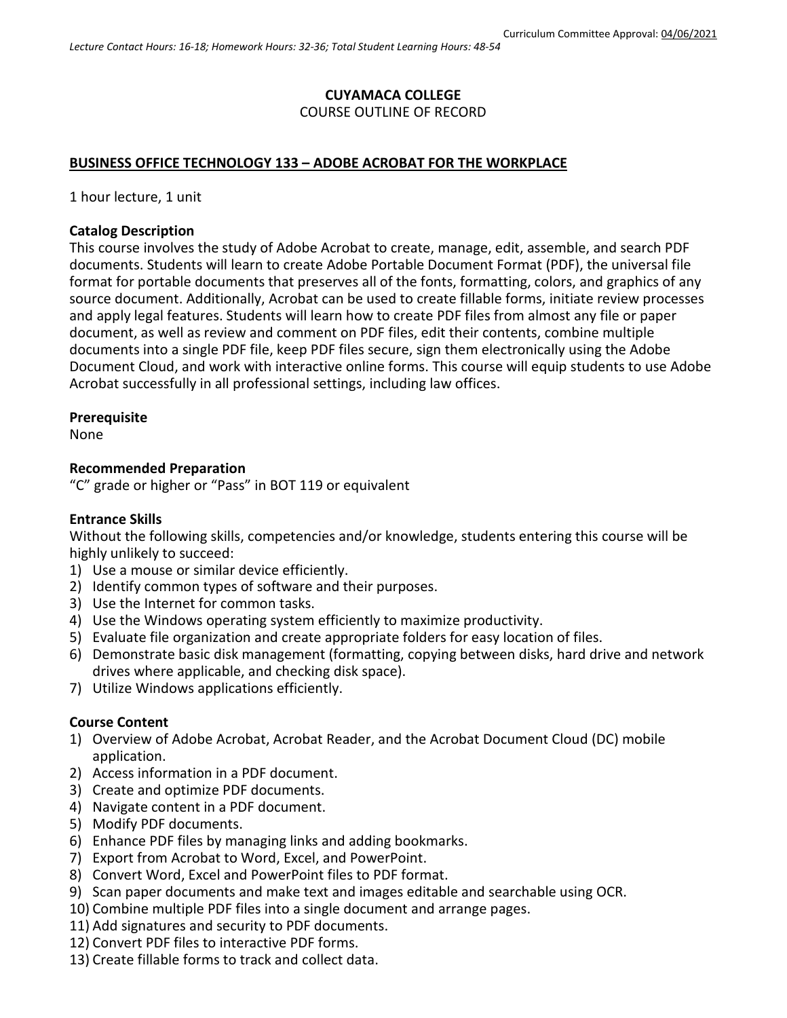# **CUYAMACA COLLEGE** COURSE OUTLINE OF RECORD

## **BUSINESS OFFICE TECHNOLOGY 133 – ADOBE ACROBAT FOR THE WORKPLACE**

1 hour lecture, 1 unit

#### **Catalog Description**

This course involves the study of Adobe Acrobat to create, manage, edit, assemble, and search PDF documents. Students will learn to create Adobe Portable Document Format (PDF), the universal file format for portable documents that preserves all of the fonts, formatting, colors, and graphics of any source document. Additionally, Acrobat can be used to create fillable forms, initiate review processes and apply legal features. Students will learn how to create PDF files from almost any file or paper document, as well as review and comment on PDF files, edit their contents, combine multiple documents into a single PDF file, keep PDF files secure, sign them electronically using the Adobe Document Cloud, and work with interactive online forms. This course will equip students to use Adobe Acrobat successfully in all professional settings, including law offices.

#### **Prerequisite**

None

#### **Recommended Preparation**

"C" grade or higher or "Pass" in BOT 119 or equivalent

### **Entrance Skills**

Without the following skills, competencies and/or knowledge, students entering this course will be highly unlikely to succeed:

- 1) Use a mouse or similar device efficiently.
- 2) Identify common types of software and their purposes.
- 3) Use the Internet for common tasks.
- 4) Use the Windows operating system efficiently to maximize productivity.
- 5) Evaluate file organization and create appropriate folders for easy location of files.
- 6) Demonstrate basic disk management (formatting, copying between disks, hard drive and network drives where applicable, and checking disk space).
- 7) Utilize Windows applications efficiently.

### **Course Content**

- 1) Overview of Adobe Acrobat, Acrobat Reader, and the Acrobat Document Cloud (DC) mobile application.
- 2) Access information in a PDF document.
- 3) Create and optimize PDF documents.
- 4) Navigate content in a PDF document.
- 5) Modify PDF documents.
- 6) Enhance PDF files by managing links and adding bookmarks.
- 7) Export from Acrobat to Word, Excel, and PowerPoint.
- 8) Convert Word, Excel and PowerPoint files to PDF format.
- 9) Scan paper documents and make text and images editable and searchable using OCR.
- 10) Combine multiple PDF files into a single document and arrange pages.
- 11) Add signatures and security to PDF documents.
- 12) Convert PDF files to interactive PDF forms.
- 13) Create fillable forms to track and collect data.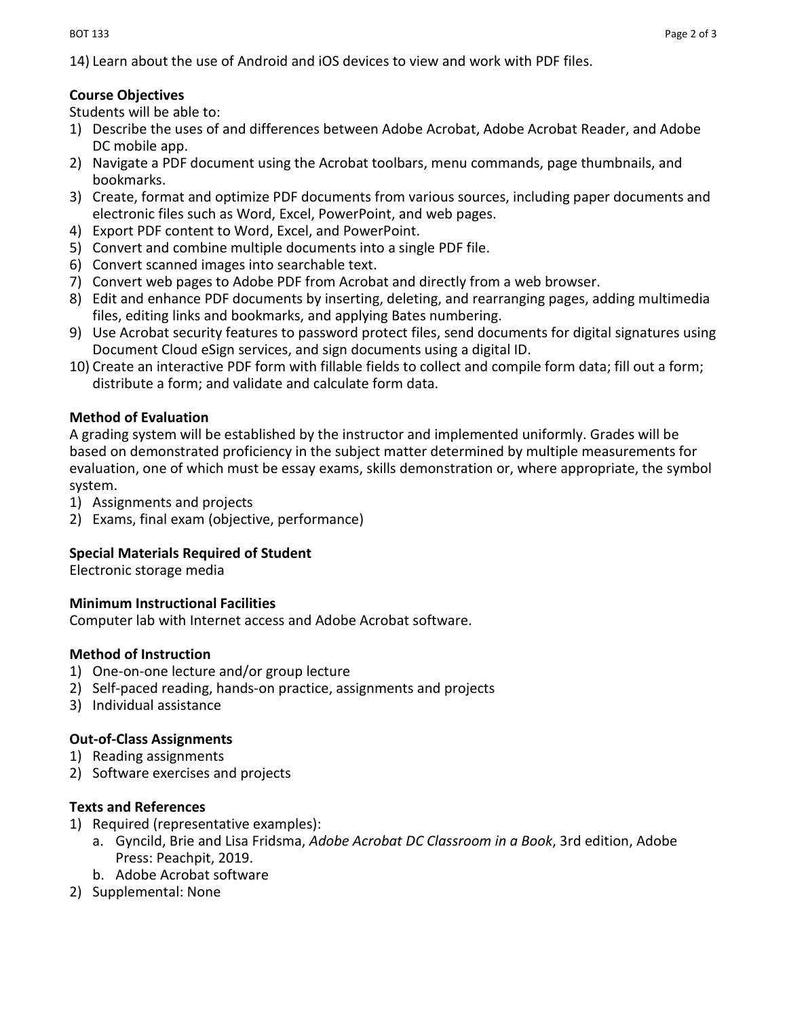14) Learn about the use of Android and iOS devices to view and work with PDF files.

# **Course Objectives**

Students will be able to:

- 1) Describe the uses of and differences between Adobe Acrobat, Adobe Acrobat Reader, and Adobe DC mobile app.
- 2) Navigate a PDF document using the Acrobat toolbars, menu commands, page thumbnails, and bookmarks.
- 3) Create, format and optimize PDF documents from various sources, including paper documents and electronic files such as Word, Excel, PowerPoint, and web pages.
- 4) Export PDF content to Word, Excel, and PowerPoint.
- 5) Convert and combine multiple documents into a single PDF file.
- 6) Convert scanned images into searchable text.
- 7) Convert web pages to Adobe PDF from Acrobat and directly from a web browser.
- 8) Edit and enhance PDF documents by inserting, deleting, and rearranging pages, adding multimedia files, editing links and bookmarks, and applying Bates numbering.
- 9) Use Acrobat security features to password protect files, send documents for digital signatures using Document Cloud eSign services, and sign documents using a digital ID.
- 10) Create an interactive PDF form with fillable fields to collect and compile form data; fill out a form; distribute a form; and validate and calculate form data.

## **Method of Evaluation**

A grading system will be established by the instructor and implemented uniformly. Grades will be based on demonstrated proficiency in the subject matter determined by multiple measurements for evaluation, one of which must be essay exams, skills demonstration or, where appropriate, the symbol system.

- 1) Assignments and projects
- 2) Exams, final exam (objective, performance)

# **Special Materials Required of Student**

Electronic storage media

### **Minimum Instructional Facilities**

Computer lab with Internet access and Adobe Acrobat software.

# **Method of Instruction**

- 1) One-on-one lecture and/or group lecture
- 2) Self-paced reading, hands-on practice, assignments and projects
- 3) Individual assistance

# **Out-of-Class Assignments**

- 1) Reading assignments
- 2) Software exercises and projects

# **Texts and References**

- 1) Required (representative examples):
	- a. Gyncild, Brie and Lisa Fridsma, *Adobe Acrobat DC Classroom in a Book*, 3rd edition, Adobe Press: Peachpit, 2019.
	- b. Adobe Acrobat software
- 2) Supplemental: None